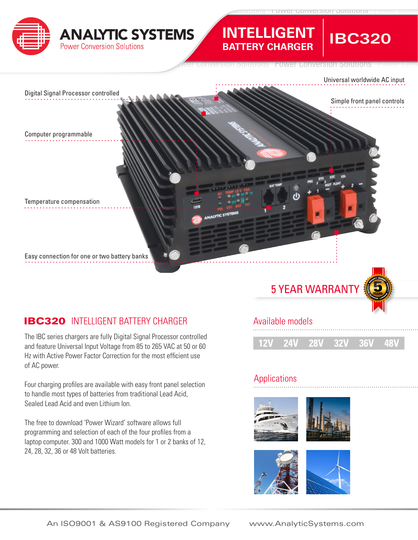

# **INTELLIGENT BATTERY CHARGER**

Solutions Power Conversion Solutions Power Conversion Solutions Power Conv



## **IBC320** INTELLIGENT BATTERY CHARGER Available models

The IBC series chargers are fully Digital Signal Processor controlled and feature Universal Input Voltage from 85 to 265 VAC at 50 or 60 Hz with Active Power Factor Correction for the most efficient use of AC power.

Four charging profiles are available with easy front panel selection to handle most types of batteries from traditional Lead Acid, Sealed Lead Acid and even Lithium Ion.

The free to download 'Power Wizard' software allows full programming and selection of each of the four profiles from a laptop computer. 300 and 1000 Watt models for 1 or 2 banks of 12, 24, 28, 32, 36 or 48 Volt batteries.



**12V 24V 28V 32V 36V 48V**

## **Applications**